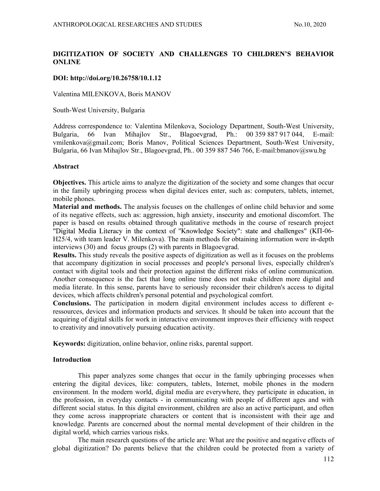# DIGITIZATION OF SOCIETY AND CHALLENGES TO CHILDREN'S BEHAVIOR ONLINE

# DOI: http://doi.org/10.26758/10.1.12

Valentina MILENKOVA, Boris MANOV

South-West University, Bulgaria

Address correspondence to: Valentina Milenkova, Sociology Department, South-West University, Bulgaria, 66 Ivan Mihajlov Str., Blagoevgrad, Ph.: 00 359 887 917 044, E-mail: vmilenkova@gmail.com; Boris Manov, Political Sciences Department, South-West University, Bulgaria, 66 Ivan Mihajlov Str., Blagoevgrad, Ph.. 00 359 887 546 766, E-mail:bmanov@swu.bg

## Abstract

Objectives. This article aims to analyze the digitization of the society and some changes that occur in the family upbringing process when digital devices enter, such as: computers, tablets, internet, mobile phones.

Material and methods. The analysis focuses on the challenges of online child behavior and some of its negative effects, such as: aggression, high anxiety, insecurity and emotional discomfort. The paper is based on results obtained through qualitative methods in the course of research project "Digital Media Literacy in the context of "Knowledge Society": state and challenges" (KII-06-H25/4, with team leader V. Milenkova). The main methods for obtaining information were in-depth interviews (30) and focus groups (2) with parents in Blagoevgrad.

Results. This study reveals the positive aspects of digitization as well as it focuses on the problems that accompany digitization in social processes and people's personal lives, especially children's contact with digital tools and their protection against the different risks of online communication. Another consequence is the fact that long online time does not make children more digital and media literate. In this sense, parents have to seriously reconsider their children's access to digital devices, which affects children's personal potential and psychological comfort.

Conclusions. The participation in modern digital environment includes access to different eressources, devices and information products and services. It should be taken into account that the acquiring of digital skills for work in interactive environment improves their efficiency with respect to creativity and innovatively pursuing education activity.

Keywords: digitization, online behavior, online risks, parental support.

# **Introduction**

This paper analyzes some changes that occur in the family upbringing processes when entering the digital devices, like: computers, tablets, Internet, mobile phones in the modern environment. In the modern world, digital media are everywhere, they participate in education, in the profession, in everyday contacts - in communicating with people of different ages and with different social status. In this digital environment, children are also an active participant, and often they come across inappropriate characters or content that is inconsistent with their age and knowledge. Parents are concerned about the normal mental development of their children in the digital world, which carries various risks.

The main research questions of the article are: What are the positive and negative effects of global digitization? Do parents believe that the children could be protected from a variety of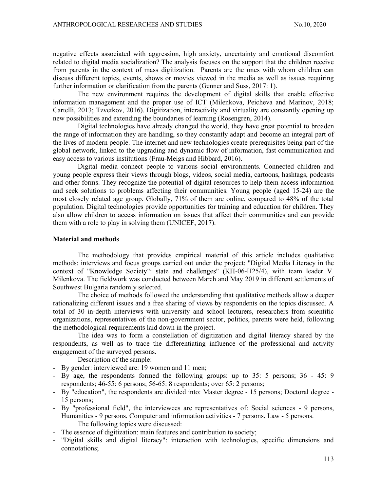negative effects associated with aggression, high anxiety, uncertainty and emotional discomfort related to digital media socialization? The analysis focuses on the support that the children receive from parents in the context of mass digitization. Parents are the ones with whom children can discuss different topics, events, shows or movies viewed in the media as well as issues requiring further information or clarification from the parents (Genner and Suss, 2017: 1).

The new environment requires the development of digital skills that enable effective information management and the proper use of ICT (Milenkova, Peicheva and Marinov, 2018; Cartelli, 2013; Tzvetkov, 2016). Digitization, interactivity and virtuality are constantly opening up new possibilities and extending the boundaries of learning (Rosengren, 2014).

Digital technologies have already changed the world, they have great potential to broaden the range of information they are handling, so they constantly adapt and become an integral part of the lives of modern people. The internet and new technologies create prerequisites being part of the global network, linked to the upgrading and dynamic flow of information, fast communication and easy access to various institutions (Frau-Meigs and Hibbard, 2016).

Digital media connect people to various social environments. Connected children and young people express their views through blogs, videos, social media, cartoons, hashtags, podcasts and other forms. They recognize the potential of digital resources to help them access information and seek solutions to problems affecting their communities. Young people (aged 15-24) are the most closely related age group. Globally, 71% of them are online, compared to 48% of the total population. Digital technologies provide opportunities for training and education for children. They also allow children to access information on issues that affect their communities and can provide them with a role to play in solving them (UNICEF, 2017).

#### Material and methods

The methodology that provides empirical material of this article includes qualitative methods: interviews and focus groups carried out under the project: "Digital Media Literacy in the context of "Knowledge Society": state and challenges" (KII-06-H25/4), with team leader V. Milenkova. The fieldwork was conducted between March and May 2019 in different settlements of Southwest Bulgaria randomly selected.

The choice of methods followed the understanding that qualitative methods allow a deeper rationalizing different issues and a free sharing of views by respondents on the topics discussed. A total of 30 in-depth interviews with university and school lecturers, researchers from scientific organizations, representatives of the non-government sector, politics, parents were held, following the methodological requirements laid down in the project.

The idea was to form a constellation of digitization and digital literacy shared by the respondents, as well as to trace the differentiating influence of the professional and activity engagement of the surveyed persons.

- 
- Description of the sample:<br>
 By gender: interviewed are: 19 women and 11 men;<br>
 By age, the respondents formed the following groups: up to 35: 5 persons; 36 45: 9 respondents; 46-55: 6 persons; 56-65: 8 respondents; over 65: 2 persons;<br>- By "education", the respondents are divided into: Master degree - 15 persons; Doctoral degree -
- 15 persons; By "professional field", the interviewees are representatives of: Social sciences 9 persons,
- Humanities 9 persons, Computer and information activities 7 persons, Law 5 persons. The following topics were discussed:<br>
- The essence of digitization: main features and contribution to society;<br>
- "Digital skills and digital literacy": interaction with technologies, specific dimensions and
- 
- connotations;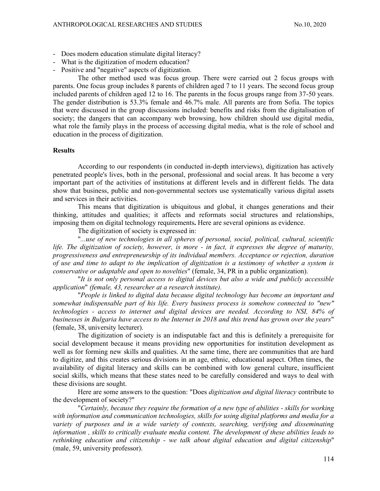- Does modern education stimulate digital literacy?<br>- What is the digitization of modern education?<br>- Positive and "negative" aspects of digitization.
- 
- 

The other method used was focus group. There were carried out 2 focus groups with parents. One focus group includes 8 parents of children aged 7 to 11 years. The second focus group included parents of children aged 12 to 16. The parents in the focus groups range from 37-50 years. The gender distribution is 53.3% female and 46.7% male. All parents are from Sofia. The topics that were discussed in the group discussions included: benefits and risks from the digitalisation of society; the dangers that can accompany web browsing, how children should use digital media, what role the family plays in the process of accessing digital media, what is the role of school and education in the process of digitization.

## **Results**

According to our respondents (in conducted in-depth interviews), digitization has actively penetrated people's lives, both in the personal, professional and social areas. It has become a very important part of the activities of institutions at different levels and in different fields. The data show that business, public and non-governmental sectors use systematically various digital assets and services in their activities.

This means that digitization is ubiquitous and global, it changes generations and their thinking, attitudes and qualities; it affects and reformats social structures and relationships, imposing them on digital technology requirements. Here are several opinions as evidence.

The digitization of society is expressed in:<br>"...use of new technologies in all spheres of personal, social, political, cultural, scientific life. The digitization of society, however, is more - in fact, it expresses the degree of maturity, progressiveness and entrepreneurship of its individual members. Acceptance or rejection, duration of use and time to adapt to the implication of digitization is a testimony of whether a system is conservative or adaptable and open to novelties" (female, 34, PR in a public organization). "It is not only personal access to digital devices but also a wide and publicly accessible

application" (female, 43, researcher at a research institute).

"People is linked to digital data because digital technology has become an important and somewhat indispensable part of his life. Every business process is somehow connected to "new" technologies - access to internet and digital devices are needed. According to NSI, 84% of businesses in Bulgaria have access to the Internet in 2018 and this trend has grown over the years" (female, 38, university lecturer).

The digitization of society is an indisputable fact and this is definitely a prerequisite for social development because it means providing new opportunities for institution development as well as for forming new skills and qualities. At the same time, there are communities that are hard to digitize, and this creates serious divisions in an age, ethnic, educational aspect. Often times, the availability of digital literacy and skills can be combined with low general culture, insufficient social skills, which means that these states need to be carefully considered and ways to deal with these divisions are sought.

Here are some answers to the question: "Does *digitization and digital literacy* contribute to the development of society?" "Certainly, because they require the formation of a new type of abilities - skills for working

with information and communication technologies, skills for using digital platforms and media for a variety of purposes and in a wide variety of contexts, searching, verifying and disseminating information , skills to critically evaluate media content. The development of these abilities leads to rethinking education and citizenship - we talk about digital education and digital citizenship" (male, 59, university professor).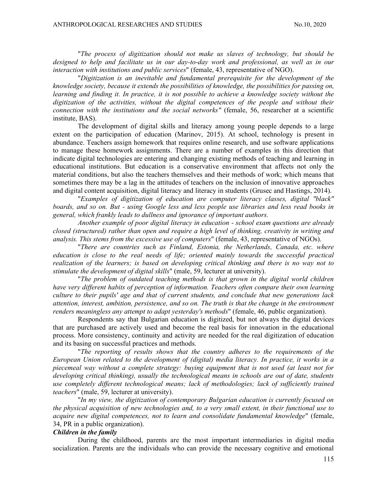"The process of digitization should not make us slaves of technology, but should be designed to help and facilitate us in our day-to-day work and professional, as well as in our interaction with institutions and public services" (female, 43, representative of NGO). "Digitization is an inevitable and fundamental prerequisite for the development of the

knowledge society, because it extends the possibilities of knowledge, the possibilities for passing on, learning and finding it. In practice, it is not possible to achieve a knowledge society without the digitization of the activities, without the digital competences of the people and without their connection with the institutions and the social networks" (female, 56, researcher at a scientific institute, BAS).

The development of digital skills and literacy among young people depends to a large extent on the participation of education (Marinov, 2015). At school, technology is present in abundance. Teachers assign homework that requires online research, and use software applications to manage these homework assignments. There are a number of examples in this direction that indicate digital technologies are entering and changing existing methods of teaching and learning in educational institutions. But education is a conservative environment that affects not only the material conditions, but also the teachers themselves and their methods of work; which means that sometimes there may be a lag in the attitudes of teachers on the inclusion of innovative approaches and digital content acquisition, digital literacy and literacy in students (Grusec and Hastings, 2014). "Examples of digitization of education are computer literacy classes, digital "black"

boards, and so on. But - using Google less and less people use libraries and less read books in general, which frankly leads to dullness and ignorance of important authors.

Another example of poor digital literacy in education - school exam questions are already closed (structured) rather than open and require a high level of thinking, creativity in writing and analysis. This stems from the excessive use of computers" (female, 43, representative of NGOs).<br>"There are countries such as Finland, Estonia, the Netherlands, Canada, etc. where

education is close to the real needs of life; oriented mainly towards the successful practical realization of the learners; is based on developing critical thinking and there is no way not to stimulate the development of digital skills" (male, 59, lecturer at university).

"The problem of outdated teaching methods is that grown in the digital world children have very different habits of perception of information. Teachers often compare their own learning culture to their pupils' age and that of current students, and conclude that new generations lack attention, interest, ambition, persistence, and so on. The truth is that the change in the environment renders meaningless any attempt to adapt yesterday's methods" (female, 46, public organization).

Respondents say that Bulgarian education is digitized, but not always the digital devices that are purchased are actively used and become the real basis for innovation in the educational process. More consistency, continuity and activity are needed for the real digitization of education

"The reporting of results shows that the country adheres to the requirements of the European Union related to the development of (digital) media literacy. In practice, it works in a piecemeal way without a complete strategy: buying equipment that is not used (at least not for developing critical thinking), usually the technological means in schools are out of date, students use completely different technological means; lack of methodologies; lack of sufficiently trained teachers" (male, 59, lecturer at university).

"In my view, the digitization of contemporary Bulgarian education is currently focused on the physical acquisition of new technologies and, to a very small extent, in their functional use to acquire new digital competences, not to learn and consolidate fundamental knowledge" (female, 34, PR in a public organization).

## Children in the family

During the childhood, parents are the most important intermediaries in digital media socialization. Parents are the individuals who can provide the necessary cognitive and emotional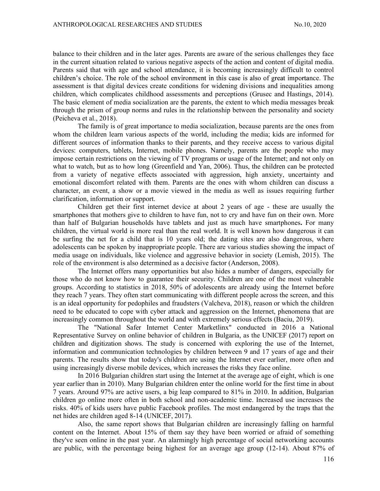balance to their children and in the later ages. Parents are aware of the serious challenges they face in the current situation related to various negative aspects of the action and content of digital media. Parents said that with age and school attendance, it is becoming increasingly difficult to control children's choice. The role of the school environment in this case is also of great importance. The assessment is that digital devices create conditions for widening divisions and inequalities among children, which complicates childhood assessments and perceptions (Grusec and Hastings, 2014). The basic element of media socialization are the parents, the extent to which media messages break through the prism of group norms and rules in the relationship between the personality and society (Peicheva et al., 2018).

The family is of great importance to media socialization, because parents are the ones from whom the children learn various aspects of the world, including the media; kids are informed for different sources of information thanks to their parents, and they receive access to various digital devices: computers, tablets, Internet, mobile phones. Namely, parents are the people who may impose certain restrictions on the viewing of TV programs or usage of the Internet; and not only on what to watch, but as to how long (Greenfield and Yan, 2006). Thus, the children can be protected from a variety of negative effects associated with aggression, high anxiety, uncertainty and emotional discomfort related with them. Parents are the ones with whom children can discuss a character, an event, a show or a movie viewed in the media as well as issues requiring further clarification, information or support.

Children get their first internet device at about 2 years of age - these are usually the smartphones that mothers give to children to have fun, not to cry and have fun on their own. More than half of Bulgarian households have tablets and just as much have smartphones. For many children, the virtual world is more real than the real world. It is well known how dangerous it can be surfing the net for a child that is 10 years old; the dating sites are also dangerous, where adolescents can be spoken by inappropriate people. There are various studies showing the impact of media usage on individuals, like violence and aggressive behavior in society (Lemish, 2015). The role of the environment is also determined as a decisive factor (Anderson, 2008).

The Internet offers many opportunities but also hides a number of dangers, especially for those who do not know how to guarantee their security. Children are one of the most vulnerable groups. According to statistics in 2018, 50% of adolescents are already using the Internet before they reach 7 years. They often start communicating with different people across the screen, and this is an ideal opportunity for pedophiles and fraudsters (Valcheva, 2018), reason or which the children need to be educated to cope with cyber attack and aggression on the Internet, phenomena that are increasingly common throughout the world and with extremely serious effects (Baciu, 2019).

The "National Safer Internet Center Marketlinx" conducted in 2016 a National Representative Survey on online behavior of children in Bulgaria, as the UNICEF (2017) report on children and digitization shows. The study is concerned with exploring the use of the Internet, information and communication technologies by children between 9 and 17 years of age and their parents. The results show that today's children are using the Internet ever earlier, more often and using increasingly diverse mobile devices, which increases the risks they face online.

In 2016 Bulgarian children start using the Internet at the average age of eight, which is one year earlier than in 2010). Many Bulgarian children enter the online world for the first time in about 7 years. Around 97% are active users, a big leap compared to 81% in 2010. In addition, Bulgarian children go online more often in both school and non-academic time. Increased use increases the risks. 40% of kids users have public Facebook profiles. The most endangered by the traps that the net hides are children aged 8-14 (UNICEF, 2017).

Also, the same report shows that Bulgarian children are increasingly falling on harmful content on the Internet. About 15% of them say they have been worried or afraid of something they've seen online in the past year. An alarmingly high percentage of social networking accounts are public, with the percentage being highest for an average age group (12-14). About 87% of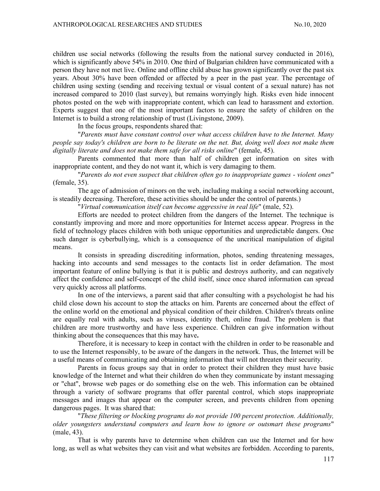children use social networks (following the results from the national survey conducted in 2016), which is significantly above 54% in 2010. One third of Bulgarian children have communicated with a person they have not met live. Online and offline child abuse has grown significantly over the past six years. About 30% have been offended or affected by a peer in the past year. The percentage of children using sexting (sending and receiving textual or visual content of a sexual nature) has not increased compared to 2010 (last survey), but remains worryingly high. Risks even hide innocent photos posted on the web with inappropriate content, which can lead to harassment and extortion. Experts suggest that one of the most important factors to ensure the safety of children on the Internet is to build a strong relationship of trust (Livingstone, 2009).

In the focus groups, respondents shared that: "Parents must have constant control over what access children have to the Internet. Many people say today's children are born to be literate on the net. But, doing well does not make them digitally literate and does not make them safe for all risks online" (female, 45).

Parents commented that more than half of children get information on sites with inappropriate content, and they do not want it, which is very damaging to them.<br>"Parents do not even suspect that children often go to inappropriate games - violent ones"

(female, 35).

The age of admission of minors on the web, including making a social networking account, is steadily decreasing. Therefore, these activities should be under the control of parents.) "Virtual communication itself can become aggressive in real life" (male, 52).

Efforts are needed to protect children from the dangers of the Internet. The technique is constantly improving and more and more opportunities for Internet access appear. Progress in the field of technology places children with both unique opportunities and unpredictable dangers. One such danger is cyberbullying, which is a consequence of the uncritical manipulation of digital means.

It consists in spreading discrediting information, photos, sending threatening messages, hacking into accounts and send messages to the contacts list in order defamation. The most important feature of online bullying is that it is public and destroys authority, and can negatively affect the confidence and self-concept of the child itself, since once shared information can spread very quickly across all platforms.

In one of the interviews, a parent said that after consulting with a psychologist he had his child close down his account to stop the attacks on him. Parents are concerned about the effect of the online world on the emotional and physical condition of their children. Children's threats online are equally real with adults, such as viruses, identity theft, online fraud. The problem is that children are more trustworthy and have less experience. Children can give information without thinking about the consequences that this may have.

Therefore, it is necessary to keep in contact with the children in order to be reasonable and to use the Internet responsibly, to be aware of the dangers in the network. Thus, the Internet will be a useful means of communicating and obtaining information that will not threaten their security.

Parents in focus groups say that in order to protect their children they must have basic knowledge of the Internet and what their children do when they communicate by instant messaging or "chat", browse web pages or do something else on the web. This information can be obtained through a variety of software programs that offer parental control, which stops inappropriate messages and images that appear on the computer screen, and prevents children from opening dangerous pages. It was shared that:<br>"These filtering or blocking programs do not provide 100 percent protection. Additionally,

older youngsters understand computers and learn how to ignore or outsmart these programs" (male, 43).

That is why parents have to determine when children can use the Internet and for how long, as well as what websites they can visit and what websites are forbidden. According to parents,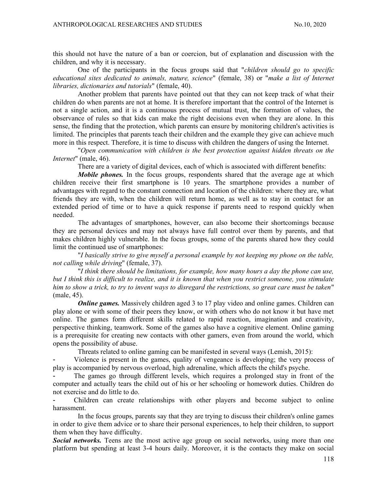this should not have the nature of a ban or coercion, but of explanation and discussion with the children, and why it is necessary.

One of the participants in the focus groups said that "children should go to specific educational sites dedicated to animals, nature, science" (female, 38) or "make a list of Internet libraries, dictionaries and tutorials" (female, 40).

Another problem that parents have pointed out that they can not keep track of what their children do when parents are not at home. It is therefore important that the control of the Internet is not a single action, and it is a continuous process of mutual trust, the formation of values, the observance of rules so that kids can make the right decisions even when they are alone. In this sense, the finding that the protection, which parents can ensure by monitoring children's activities is limited. The principles that parents teach their children and the example they give can achieve much more in this respect. Therefore, it is time to discuss with children the dangers of using the Internet.<br>"Open communication with children is the best protection against hidden threats on the

Internet" (male, 46).

There are a variety of digital devices, each of which is associated with different benefits:

Mobile phones. In the focus groups, respondents shared that the average age at which children receive their first smartphone is 10 years. The smartphone provides a number of advantages with regard to the constant connection and location of the children: where they are, what friends they are with, when the children will return home, as well as to stay in contact for an extended period of time or to have a quick response if parents need to respond quickly when needed.

The advantages of smartphones, however, can also become their shortcomings because they are personal devices and may not always have full control over them by parents, and that makes children highly vulnerable. In the focus groups, some of the parents shared how they could limit the continued use of smartphones: "I basically strive to give myself a personal example by not keeping my phone on the table,

not calling while driving" (female, 37). "I think there should be limitations, for example, how many hours a day the phone can use,

but I think this is difficult to realize, and it is known that when you restrict someone, you stimulate him to show a trick, to try to invent ways to disregard the restrictions, so great care must be taken" (male, 45).

**Online games.** Massively children aged 3 to 17 play video and online games. Children can play alone or with some of their peers they know, or with others who do not know it but have met online. The games form different skills related to rapid reaction, imagination and creativity, perspective thinking, teamwork. Some of the games also have a cognitive element. Online gaming is a prerequisite for creating new contacts with other gamers, even from around the world, which opens the possibility of abuse.

Threats related to online gaming can be manifested in several ways (Lemish, 2015):

Violence is present in the games, quality of vengeance is developing; the very process of play is accompanied by nervous overload, high adrenaline, which affects the child's psyche.

The games go through different levels, which requires a prolonged stay in front of the computer and actually tears the child out of his or her schooling or homework duties. Children do not exercise and do little to do.

- Children can create relationships with other players and become subject to online harassment.

In the focus groups, parents say that they are trying to discuss their children's online games in order to give them advice or to share their personal experiences, to help their children, to support them when they have difficulty.

Social networks. Teens are the most active age group on social networks, using more than one platform but spending at least 3-4 hours daily. Moreover, it is the contacts they make on social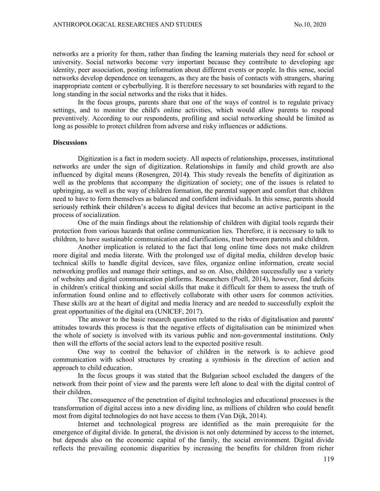networks are a priority for them, rather than finding the learning materials they need for school or university. Social networks become very important because they contribute to developing age identity, peer association, posting information about different events or people. In this sense, social networks develop dependence on teenagers, as they are the basis of contacts with strangers, sharing inappropriate content or cyberbullying. It is therefore necessary to set boundaries with regard to the long standing in the social networks and the risks that it hides.

In the focus groups, parents share that one of the ways of control is to regulate privacy settings, and to monitor the child's online activities, which would allow parents to respond preventively. According to our respondents, profiling and social networking should be limited as long as possible to protect children from adverse and risky influences or addictions.

#### **Discussions**

Digitization is a fact in modern society. All aspects of relationships, processes, institutional networks are under the sign of digitization. Relationships in family and child growth are also influenced by digital means (Rosengren, 2014). This study reveals the benefits of digitization as well as the problems that accompany the digitization of society; one of the issues is related to upbringing, as well as the way of children formation, the parental support and comfort that children need to have to form themselves as balanced and confident individuals. In this sense, parents should seriously rethink their children's access to digital devices that become an active participant in the process of socialization.

One of the main findings about the relationship of children with digital tools regards their protection from various hazards that online communication lies. Therefore, it is necessary to talk to children, to have sustainable communication and clarifications, trust between parents and children.

Another implication is related to the fact that long online time does not make children more digital and media literate. With the prolonged use of digital media, children develop basic technical skills to handle digital devices, save files, organize online information, create social networking profiles and manage their settings, and so on. Also, children successfully use a variety of websites and digital communication platforms. Researchers (Poell, 2014), however, find deficits in children's critical thinking and social skills that make it difficult for them to assess the truth of information found online and to effectively collaborate with other users for common activities. These skills are at the heart of digital and media literacy and are needed to successfully exploit the great opportunities of the digital era (UNICEF, 2017).

The answer to the basic research question related to the risks of digitalisation and parents' attitudes towards this process is that the negative effects of digitalisation can be minimized when the whole of society is involved with its various public and non-governmental institutions. Only then will the efforts of the social actors lead to the expected positive result.

One way to control the behavior of children in the network is to achieve good communication with school structures by creating a symbiosis in the direction of action and approach to child education.

In the focus groups it was stated that the Bulgarian school excluded the dangers of the network from their point of view and the parents were left alone to deal with the digital control of their children.

The consequence of the penetration of digital technologies and educational processes is the transformation of digital access into a new dividing line, as millions of children who could benefit most from digital technologies do not have access to them (Van Dijk, 2014).

Internet and technological progress are identified as the main prerequisite for the emergence of digital divide. In general, the division is not only determined by access to the internet, but depends also on the economic capital of the family, the social environment. Digital divide reflects the prevailing economic disparities by increasing the benefits for children from richer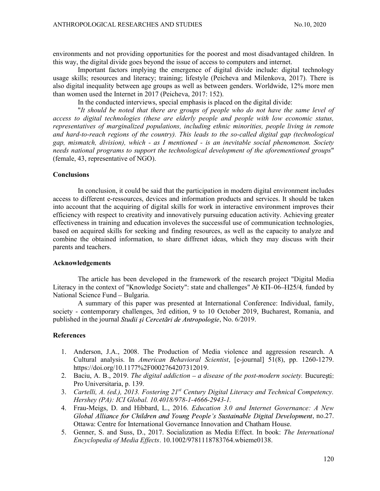environments and not providing opportunities for the poorest and most disadvantaged children. In this way, the digital divide goes beyond the issue of access to computers and internet.

Important factors implying the emergence of digital divide include: digital technology usage skills; resources and literacy; training; lifestyle (Peicheva and Milenkova, 2017). There is also digital inequality between age groups as well as between genders. Worldwide, 12% more men than women used the Internet in 2017 (Peicheva, 2017: 152).

In the conducted interviews, special emphasis is placed on the digital divide:<br>"It should be noted that there are groups of people who do not have the same level of

access to digital technologies (these are elderly people and people with low economic status, representatives of marginalized populations, including ethnic minorities, people living in remote and hard-to-reach regions of the country). This leads to the so-called digital gap (technological gap, mismatch, division), which - as I mentioned - is an inevitable social phenomenon. Society needs national programs to support the technological development of the aforementioned groups" (female, 43, representative of NGO).

Conclusions In conclusion, it could be said that the participation in modern digital environment includes access to different e-ressources, devices and information products and services. It should be taken into account that the acquiring of digital skills for work in interactive environment improves their efficiency with respect to creativity and innovatively pursuing education activity. Achieving greater effectiveness in training and education involeves the successful use of communication technologies, based on acquired skills for seeking and finding resources, as well as the capacity to analyze and combine the obtained information, to share diffrenet ideas, which they may discuss with their parents and teachers.

#### Acknowledgements

The article has been developed in the framework of the research project "Digital Media Literacy in the context of "Knowledge Society": state and challenges"  $N_2$  KII-06-H25/4, funded by National Science Fund - Bulgaria.

A summary of this paper was presented at International Conference: Individual, family, society - contemporary challenges, 3rd edition, 9 to 10 October 2019, Bucharest, Romania, and published in the journal Studii și Cercetări de Antropologie, No. 6/2019.

# **References**

- 1. Anderson, J.A., 2008. The Production of Media violence and aggression research. A Cultural analysis. In American Behavioral Scientist, [e-journal] 51(8), pp. 1260-1279. https://doi.org/10.1177%2F0002764207312019.
- 2. Baciu, A. B., 2019. The digital addiction  $-a$  disease of the post-modern society. Bucuresti: Pro Universitaria, p. 139.
- 3. Cartelli, A. (ed.), 2013. Fostering 21<sup>st</sup> Century Digital Literacy and Technical Competency. Hershey (PA): ICI Global. 10.4018/978-1-4666-2943-1.
- 4. Frau-Meigs, D. and Hibbard, L., 2016. Education 3.0 and Internet Governance: A New Global Alliance for Children and Young People's Sustainable Digital Development, no.27. Ottawa: Centre for International Governance Innovation and Chatham House.
- 5. Genner, S. and Suss, D., 2017. Socialization as Media Effect. In book: The International Encyclopedia of Media Effects. 10.1002/9781118783764.wbieme0138.